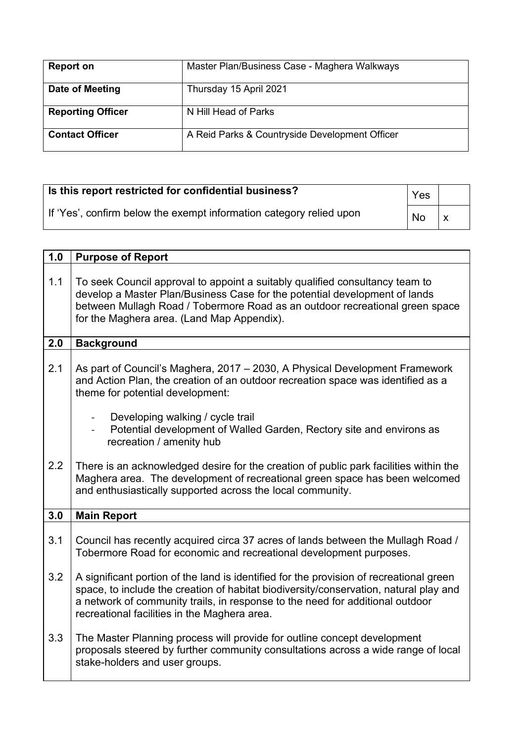| <b>Report on</b>         | Master Plan/Business Case - Maghera Walkways   |
|--------------------------|------------------------------------------------|
| Date of Meeting          | Thursday 15 April 2021                         |
| <b>Reporting Officer</b> | N Hill Head of Parks                           |
| <b>Contact Officer</b>   | A Reid Parks & Countryside Development Officer |

| Is this report restricted for confidential business?                |     |                         |
|---------------------------------------------------------------------|-----|-------------------------|
| If 'Yes', confirm below the exempt information category relied upon | No. | $\mathsf{I} \mathsf{X}$ |

| 1.0 | <b>Purpose of Report</b>                                                                                                                                                                                                                                                                                          |
|-----|-------------------------------------------------------------------------------------------------------------------------------------------------------------------------------------------------------------------------------------------------------------------------------------------------------------------|
| 1.1 | To seek Council approval to appoint a suitably qualified consultancy team to<br>develop a Master Plan/Business Case for the potential development of lands<br>between Mullagh Road / Tobermore Road as an outdoor recreational green space<br>for the Maghera area. (Land Map Appendix).                          |
| 2.0 | <b>Background</b>                                                                                                                                                                                                                                                                                                 |
| 2.1 | As part of Council's Maghera, 2017 – 2030, A Physical Development Framework<br>and Action Plan, the creation of an outdoor recreation space was identified as a<br>theme for potential development:                                                                                                               |
|     | Developing walking / cycle trail<br>Potential development of Walled Garden, Rectory site and environs as<br>recreation / amenity hub                                                                                                                                                                              |
| 2.2 | There is an acknowledged desire for the creation of public park facilities within the<br>Maghera area. The development of recreational green space has been welcomed<br>and enthusiastically supported across the local community.                                                                                |
| 3.0 | <b>Main Report</b>                                                                                                                                                                                                                                                                                                |
| 3.1 | Council has recently acquired circa 37 acres of lands between the Mullagh Road /<br>Tobermore Road for economic and recreational development purposes.                                                                                                                                                            |
| 3.2 | A significant portion of the land is identified for the provision of recreational green<br>space, to include the creation of habitat biodiversity/conservation, natural play and<br>a network of community trails, in response to the need for additional outdoor<br>recreational facilities in the Maghera area. |
| 3.3 | The Master Planning process will provide for outline concept development<br>proposals steered by further community consultations across a wide range of local<br>stake-holders and user groups.                                                                                                                   |